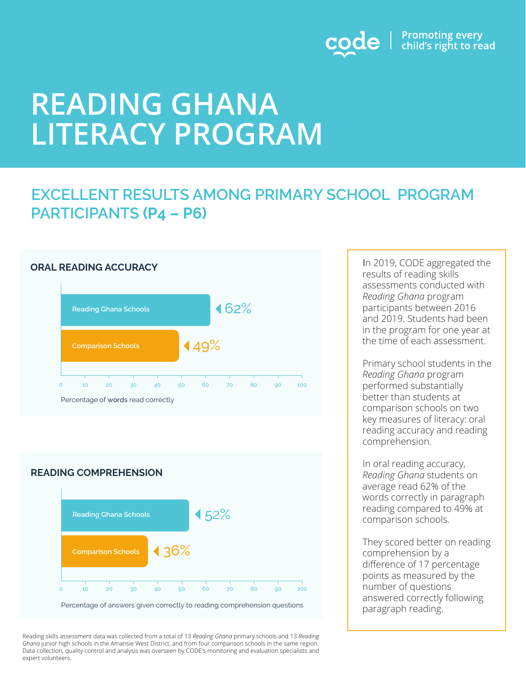

# **READING GHANA LITERACY PROGRAM**

### **EXCELLENT RESULTS AMONG PRIMARY SCHOOL PROGRAM PARTICIPANTS (P4 – P6)**



### **READING COMPREHENSION**



Reading skills assessment data was collected from a total of 13 *Reading Ghana* primary schools and 13 *Reading Ghana* junior high schools in the Amansie West District, and from four comparison schools in the same region. Data collection, quality control and analysis was overseen by CODE's monitoring and evaluation specialists and expert volunteers.

In 2019, CODE aggregated the results of reading skills assessments conducted with *Reading Ghana* program participants between 2016 and 2019. Students had been in the program for one year at the time of each assessment.

Primary school students in the *Reading Ghana* program performed substantially better than students at comparison schools on two key measures of literacy: oral reading accuracy and reading comprehension.

In oral reading accuracy, *Reading Ghana* students on average read 62% of the words correctly in paragraph reading compared to 49% at comparison schools.

They scored better on reading comprehension by a difference of 17 percentage points as measured by the number of questions answered correctly following paragraph reading.